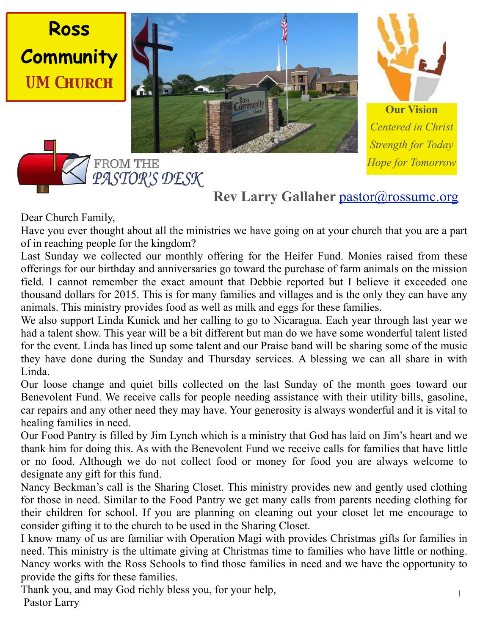



**Our Vision** *Centered in Christ Strength for Today Hope for Tomorrow*

# **Rev Larry Gallaher [pastor@rossumc.org](mailto:pastor@rossumc.org)**

September 2016

#### Dear Church Family,

**Ross**

Have you ever thought about all the ministries we have going on at your church that you are a part of in reaching people for the kingdom?

Last Sunday we collected our monthly offering for the Heifer Fund. Monies raised from these offerings for our birthday and anniversaries go toward the purchase of farm animals on the mission field. I cannot remember the exact amount that Debbie reported but I believe it exceeded one thousand dollars for 2015. This is for many families and villages and is the only they can have any animals. This ministry provides food as well as milk and eggs for these families.

We also support Linda Kunick and her calling to go to Nicaragua. Each year through last year we had a talent show. This year will be a bit different but man do we have some wonderful talent listed for the event. Linda has lined up some talent and our Praise band will be sharing some of the music they have done during the Sunday and Thursday services. A blessing we can all share in with Linda.

Our loose change and quiet bills collected on the last Sunday of the month goes toward our Benevolent Fund. We receive calls for people needing assistance with their utility bills, gasoline, car repairs and any other need they may have. Your generosity is always wonderful and it is vital to healing families in need.

Our Food Pantry is filled by Jim Lynch which is a ministry that God has laid on Jim's heart and we thank him for doing this. As with the Benevolent Fund we receive calls for families that have little or no food. Although we do not collect food or money for food you are always welcome to designate any gift for this fund.

Nancy Beckman's call is the Sharing Closet. This ministry provides new and gently used clothing for those in need. Similar to the Food Pantry we get many calls from parents needing clothing for their children for school. If you are planning on cleaning out your closet let me encourage to consider gifting it to the church to be used in the Sharing Closet.

I know many of us are familiar with Operation Magi with provides Christmas gifts for families in need. This ministry is the ultimate giving at Christmas time to families who have little or nothing. Nancy works with the Ross Schools to find those families in need and we have the opportunity to provide the gifts for these families.

Thank you, and may God richly bless you, for your help, Pastor Larry

PASTOR'S DESK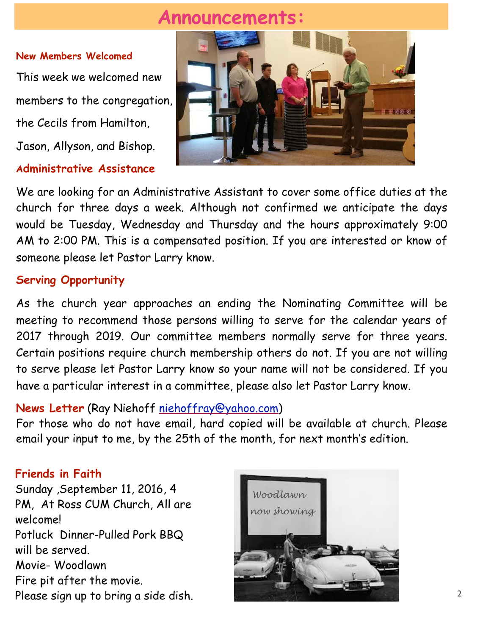# **Announcements:**

#### **New Members Welcomed**

This week we welcomed new members to the congregation, the Cecils from Hamilton, Jason, Allyson, and Bishop.

### **Administrative Assistance**



We are looking for an Administrative Assistant to cover some office duties at the church for three days a week. Although not confirmed we anticipate the days would be Tuesday, Wednesday and Thursday and the hours approximately 9:00 AM to 2:00 PM. This is a compensated position. If you are interested or know of someone please let Pastor Larry know.

## **Serving Opportunity**

As the church year approaches an ending the Nominating Committee will be meeting to recommend those persons willing to serve for the calendar years of 2017 through 2019. Our committee members normally serve for three years. Certain positions require church membership others do not. If you are not willing to serve please let Pastor Larry know so your name will not be considered. If you have a particular interest in a committee, please also let Pastor Larry know.

## **News Letter** (Ray Niehoff [niehoffray@yahoo.com\)](mailto:niehoffray@yahoo.com)

For those who do not have email, hard copied will be available at church. Please email your input to me, by the 25th of the month, for next month's edition.

#### **Friends in Faith**

Sunday ,September 11, 2016, 4 PM, At Ross CUM Church, All are welcome! Potluck Dinner-Pulled Pork BBQ will be served. Movie- Woodlawn Fire pit after the movie. Please sign up to bring a side dish.

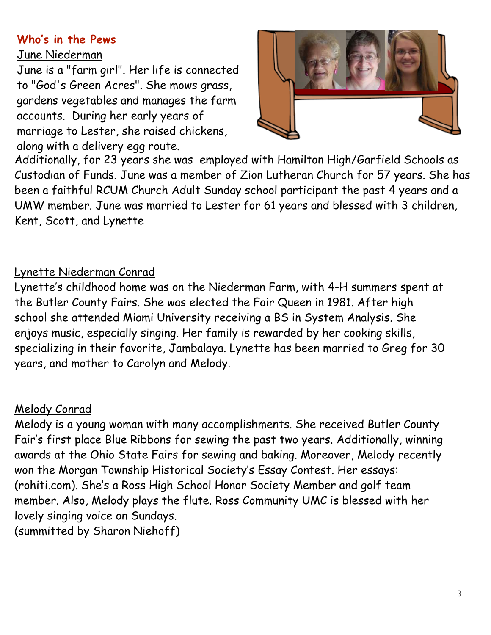## **Who's in the Pews**

#### June Niederman

June is a "farm girl". Her life is connected to "God's Green Acres". She mows grass, gardens vegetables and manages the farm accounts. During her early years of marriage to Lester, she raised chickens, along with a delivery egg route.



Additionally, for 23 years she was employed with Hamilton High/Garfield Schools as Custodian of Funds. June was a member of Zion Lutheran Church for 57 years. She has been a faithful RCUM Church Adult Sunday school participant the past 4 years and a UMW member. June was married to Lester for 61 years and blessed with 3 children, Kent, Scott, and Lynette

# Lynette Niederman Conrad

Lynette's childhood home was on the Niederman Farm, with 4-H summers spent at the Butler County Fairs. She was elected the Fair Queen in 1981. After high school she attended Miami University receiving a BS in System Analysis. She enjoys music, especially singing. Her family is rewarded by her cooking skills, specializing in their favorite, Jambalaya. Lynette has been married to Greg for 30 years, and mother to Carolyn and Melody.

## Melody Conrad

Melody is a young woman with many accomplishments. She received Butler County Fair's first place Blue Ribbons for sewing the past two years. Additionally, winning awards at the Ohio State Fairs for sewing and baking. Moreover, Melody recently won the Morgan Township Historical Society's Essay Contest. Her essays: (rohiti.com). She's a Ross High School Honor Society Member and golf team member. Also, Melody plays the flute. Ross Community UMC is blessed with her lovely singing voice on Sundays. (summitted by Sharon Niehoff)